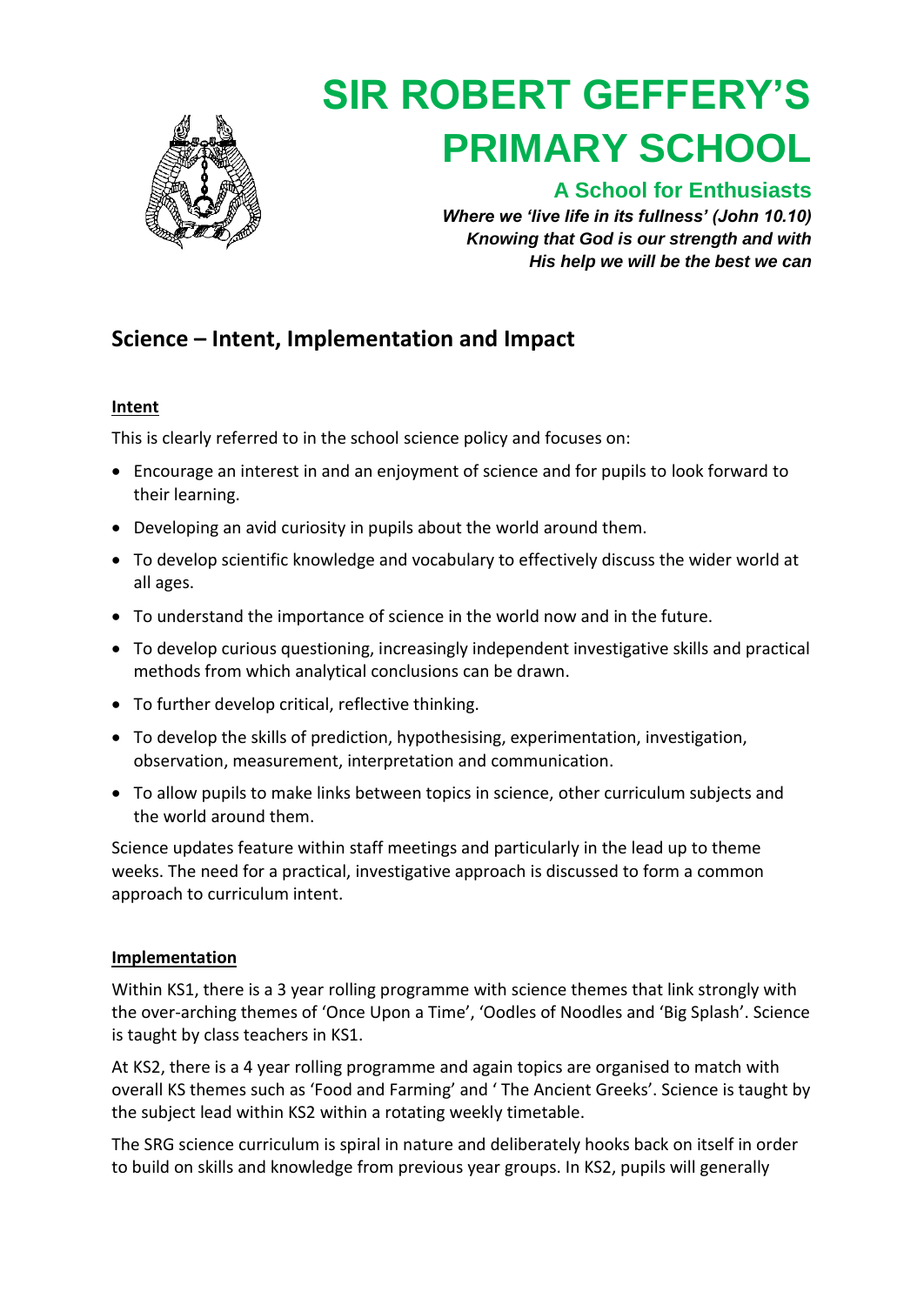

# **SIR ROBERT GEFFERY'S PRIMARY SCHOOL**

### **A School for Enthusiasts**

*Where we 'live life in its fullness' (John 10.10) Knowing that God is our strength and with His help we will be the best we can*

## **Science – Intent, Implementation and Impact**

#### **Intent**

This is clearly referred to in the school [science policy](https://docs.google.com/document/d/1dKUyEL4iUvcjcRISns-JuS2wwiKIGYYSWWPG5FJG_a8/edit) and focuses on:

- Encourage an interest in and an enjoyment of science and for pupils to look forward to their learning.
- Developing an avid curiosity in pupils about the world around them.
- To develop scientific knowledge and vocabulary to effectively discuss the wider world at all ages.
- To understand the importance of science in the world now and in the future.
- To develop curious questioning, increasingly independent investigative skills and practical methods from which analytical conclusions can be drawn.
- To further develop critical, reflective thinking.
- To develop the skills of prediction, hypothesising, experimentation, investigation, observation, measurement, interpretation and communication.
- To allow pupils to make links between topics in science, other curriculum subjects and the world around them.

Science updates feature within staff meetings and particularly in the lead up to theme weeks. The need for a practical, investigative approach is discussed to form a common approach to curriculum intent.

#### **Implementation**

Within KS1, there is a 3 year [rolling programme](https://docs.google.com/document/d/1FXWC9fhi6mUf2EHyOKUdh1VnrbFWMJtV/edit) with science themes that link strongly with the over-arching themes of 'Once Upon a Time', 'Oodles of Noodles and 'Big Splash'. Science is taught by class teachers in KS1.

At KS2, there is a 4 year [rolling programme](https://docs.google.com/document/d/1rFqEdiCYHY63zytSFwJ3KLzoeJ7Bv6y7/edit) and again topics are organised to match with overall KS themes such as 'Food and Farming' and ' The Ancient Greeks'. Science is taught by the subject lead within KS2 within a rotating weekly timetable.

The SRG science curriculum is spiral in nature and deliberately hooks back on itself in order to build on skills and knowledge from previous year groups. In KS2, pupils will generally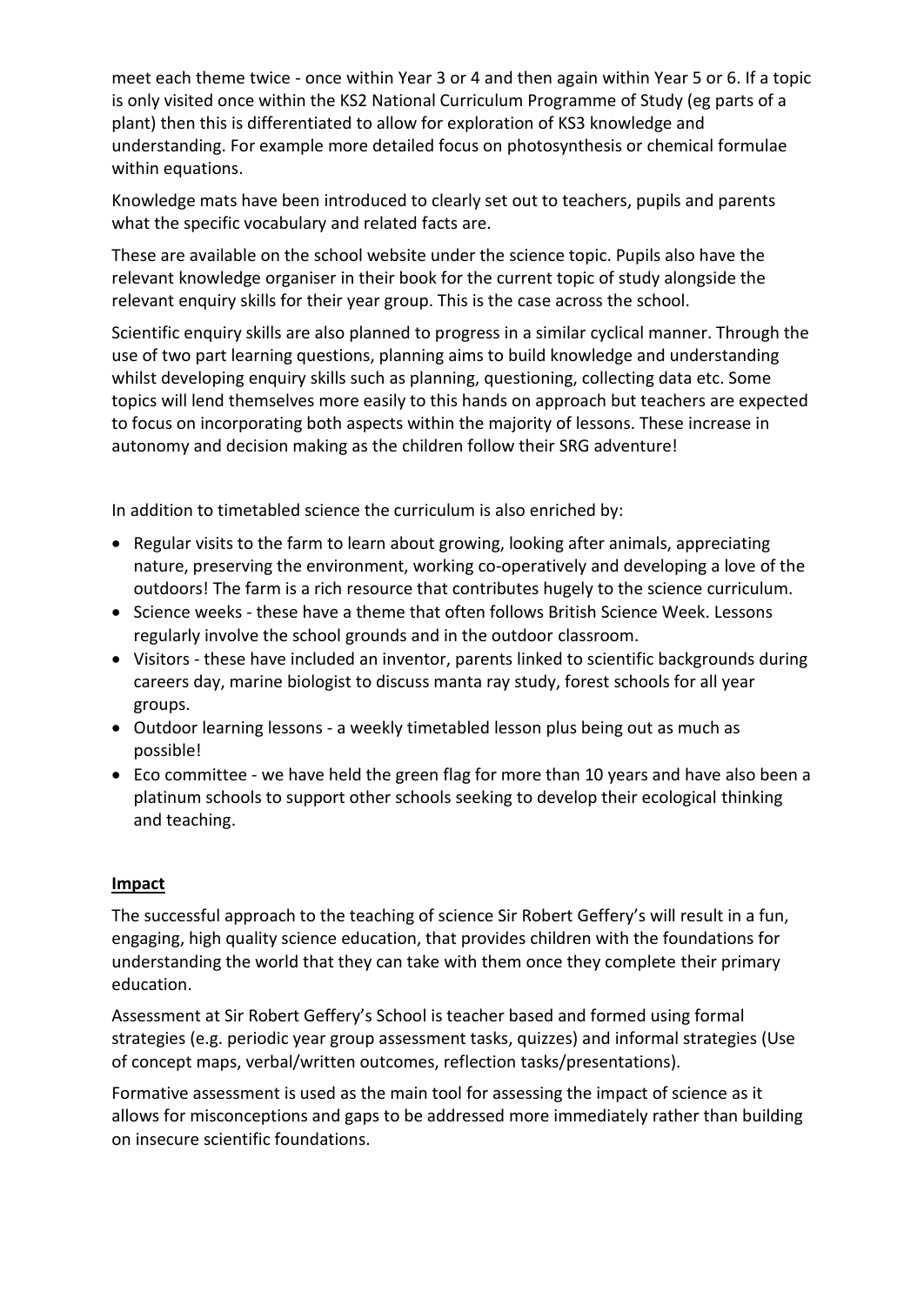meet each theme twice - once within Year 3 or 4 and then again within Year 5 or 6. If a topic is only visited once within the KS2 National Curriculum Programme of Study (eg parts of a plant) then this is differentiated to allow for exploration of KS3 knowledge and understanding. For example more detailed focus on photosynthesis or chemical formulae within equations.

Knowledge mats have been introduced to clearly set out to teachers, pupils and parents what the specific vocabulary and related facts are.

These are available on the [school website u](http://www.sir-robert-gefferys.cornwall.sch.uk/our-curriculum/)nder the science topic. Pupils also have the relevant knowledge organiser in their book for the current topic of study alongside the relevant enquiry skills for their year group. This is the case across the school.

Scientific enquiry skills are also planned to progress in a similar cyclical manner. Through the use of two part learning questions, planning aims to build knowledge and understanding whilst developing enquiry skills such as planning, questioning, collecting data etc. Some topics will lend themselves more easily to this hands on approach but teachers are expected to focus on incorporating both aspects within the majority of lessons. These increase in autonomy and decision making as the children follow their SRG adventure!

In addition to timetabled science the curriculum is also enriched by:

- Regular visits to the farm to learn about growing, looking after animals, appreciating nature, preserving the environment, working co-operatively and developing a love of the outdoors! The farm is a rich resource that contributes hugely to the science curriculum.
- Science weeks these have a theme that often follows British Science Week. Lessons regularly involve the school grounds and in the outdoor classroom.
- Visitors these have included an inventor, parents linked to scientific backgrounds during careers day, marine biologist to discuss manta ray study, forest schools for all year groups.
- Outdoor learning lessons a weekly timetabled lesson plus being out as much as possible!
- Eco committee we have held the green flag for more than 10 years and have also been a platinum schools to support other schools seeking to develop their ecological thinking and teaching.

#### **Impact**

The successful approach to the teaching of science Sir Robert Geffery's will result in a fun, engaging, high quality science education, that provides children with the foundations for understanding the world that they can take with them once they complete their primary education.

Assessment at Sir Robert Geffery's School is teacher based and formed using formal strategies (e.g. periodic year group assessment tasks, quizzes) and informal strategies (Use of concept maps, verbal/written outcomes, reflection tasks/presentations).

Formative assessment is used as the main tool for assessing the impact of science as it allows for misconceptions and gaps to be addressed more immediately rather than building on insecure scientific foundations.